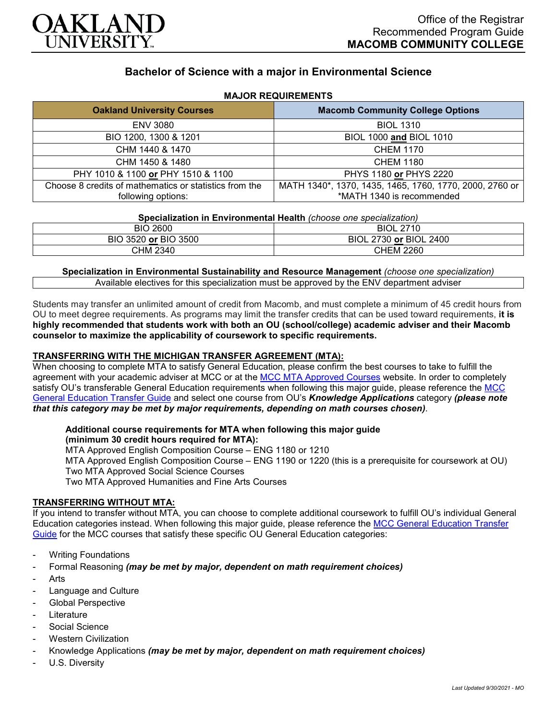

# **Bachelor of Science with a major in Environmental Science**

| <b>Oakland University Courses</b>                      | <b>Macomb Community College Options</b>                 |
|--------------------------------------------------------|---------------------------------------------------------|
| <b>ENV 3080</b>                                        | <b>BIOL 1310</b>                                        |
| BIO 1200, 1300 & 1201                                  | BIOL 1000 and BIOL 1010                                 |
| CHM 1440 & 1470                                        | <b>CHEM 1170</b>                                        |
| CHM 1450 & 1480                                        | <b>CHEM 1180</b>                                        |
| PHY 1010 & 1100 or PHY 1510 & 1100                     | PHYS 1180 or PHYS 2220                                  |
| Choose 8 credits of mathematics or statistics from the | MATH 1340*, 1370, 1435, 1465, 1760, 1770, 2000, 2760 or |
| following options:                                     | *MATH 1340 is recommended                               |

## **MAJOR REQUIREMENTS**

| Specialization in Environmental Health (choose one specialization) |  |  |
|--------------------------------------------------------------------|--|--|
|--------------------------------------------------------------------|--|--|

| 2600             | 2710             |
|------------------|------------------|
| BIO              | BIOL 27          |
| 3520 or BIO 3500 | BIOL 2730 or     |
| <b>BIC</b>       | <b>BIOL 2400</b> |
| CHM 2340         | <b>CHEM 2260</b> |

**Specialization in Environmental Sustainability and Resource Management** *(choose one specialization)* Available electives for this specialization must be approved by the ENV department adviser

Students may transfer an unlimited amount of credit from Macomb, and must complete a minimum of 45 credit hours from OU to meet degree requirements. As programs may limit the transfer credits that can be used toward requirements, **it is highly recommended that students work with both an OU (school/college) academic adviser and their Macomb counselor to maximize the applicability of coursework to specific requirements.**

## **TRANSFERRING WITH THE MICHIGAN TRANSFER AGREEMENT (MTA):**

When choosing to complete MTA to satisfy General Education, please confirm the best courses to take to fulfill the agreement with your academic adviser at MCC or at the [MCC MTA Approved Courses](http://www.macomb.edu/resources/transfer-articulation/attachments/mta-macrao-course-list.pdf) website. In order to completely satisfy OU's transferable General Education requirements when following this major guide, please reference the [MCC](https://wwwp.oakland.edu/Assets/Oakland/program-guides/macomb-community-college/university-general-education-requirements/MCC%20Gen%20Ed.pdf)  [General Education Transfer Guide](https://wwwp.oakland.edu/Assets/Oakland/program-guides/macomb-community-college/university-general-education-requirements/MCC%20Gen%20Ed.pdf) and select one course from OU's *Knowledge Applications* category *(please note that this category may be met by major requirements, depending on math courses chosen)*.

# **Additional course requirements for MTA when following this major guide**

# **(minimum 30 credit hours required for MTA):**

MTA Approved English Composition Course – ENG 1180 or 1210

MTA Approved English Composition Course – ENG 1190 or 1220 (this is a prerequisite for coursework at OU)

Two MTA Approved Social Science Courses

Two MTA Approved Humanities and Fine Arts Courses

#### **TRANSFERRING WITHOUT MTA:**

If you intend to transfer without MTA, you can choose to complete additional coursework to fulfill OU's individual General Education categories instead. When following this major guide, please reference the [MCC General Education Transfer](https://wwwp.oakland.edu/Assets/Oakland/program-guides/macomb-community-college/university-general-education-requirements/MCC%20Gen%20Ed.pdf)  [Guide](https://wwwp.oakland.edu/Assets/Oakland/program-guides/macomb-community-college/university-general-education-requirements/MCC%20Gen%20Ed.pdf) for the MCC courses that satisfy these specific OU General Education categories:

- **Writing Foundations**
- Formal Reasoning *(may be met by major, dependent on math requirement choices)*
- **Arts**
- Language and Culture
- Global Perspective
- **Literature**
- Social Science
- **Western Civilization**
- Knowledge Applications *(may be met by major, dependent on math requirement choices)*
- U.S. Diversity